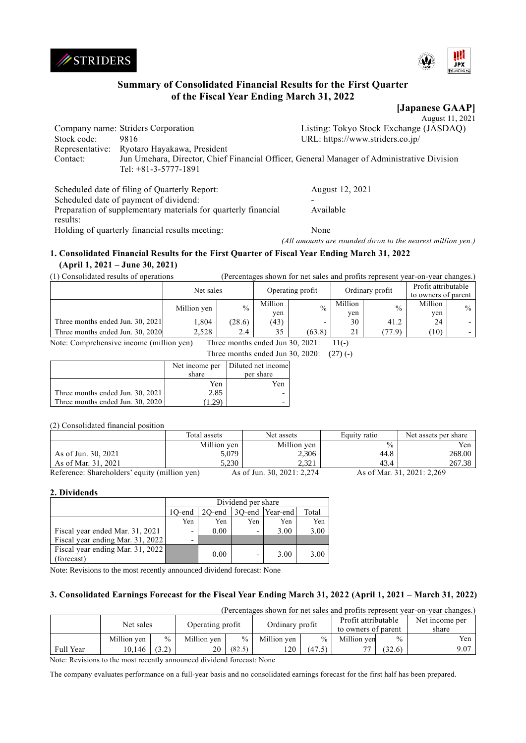



# **Summary of Consolidated Financial Results for the First Quarter of the Fiscal Year Ending March 31, 2022**

**[Japanese GAAP]**

|             |                                             | August 11, 2021                                                                            |
|-------------|---------------------------------------------|--------------------------------------------------------------------------------------------|
|             | Company name: Striders Corporation          | Listing: Tokyo Stock Exchange (JASDAQ)                                                     |
| Stock code: | 9816                                        | URL: https://www.striders.co.jp/                                                           |
|             | Representative: Ryotaro Hayakawa, President |                                                                                            |
| Contact:    | Tel: $+81-3-5777-1891$                      | Jun Umehara, Director, Chief Financial Officer, General Manager of Administrative Division |

Scheduled date of filing of Quarterly Report: August 12, 2021 Scheduled date of payment of dividend:

Available

Preparation of supplementary materials for quarterly financial results:

Holding of quarterly financial results meeting: None

*(All amounts are rounded down to the nearest million yen.)*

# **1. Consolidated Financial Results for the First Quarter of Fiscal Year Ending March 31, 2022 (April 1, 2021 – June 30, 2021)**

(1) Consolidated results of operations (Percentages shown for net sales and profits represent year-on-year changes.)

|                                  | Net sales   |        | Operating profit |               | Ordinary profit |               | Profit attributable<br>to owners of parent |      |  |  |  |  |  |
|----------------------------------|-------------|--------|------------------|---------------|-----------------|---------------|--------------------------------------------|------|--|--|--|--|--|
|                                  | Million yen | $\%$   | Million          | $\frac{0}{0}$ | Million         | $\frac{0}{0}$ | Million                                    | $\%$ |  |  |  |  |  |
|                                  |             |        | yen              |               | yen             |               | yen                                        |      |  |  |  |  |  |
| Three months ended Jun. 30, 2021 | .304        | (28.6) | (43)             | -             | 30              | 41.2          | 24                                         |      |  |  |  |  |  |
| Three months ended Jun. 30, 2020 | 2.528       | 2.4    | 35               | (63.8)        | 21              | (77.9)        | (10)                                       |      |  |  |  |  |  |
| .                                |             |        |                  |               |                 |               |                                            |      |  |  |  |  |  |

Note: Comprehensive income (million yen) Three months ended Jun 30, 2021: 11(-)

|                                  |        | Three months ended Jun 30, 2020: $(27)(-)$ |  |
|----------------------------------|--------|--------------------------------------------|--|
|                                  |        | Net income per Diluted net income          |  |
|                                  | share  | per share                                  |  |
|                                  | Yen    | Yen                                        |  |
| Three months ended Jun. 30, 2021 | 2.85   |                                            |  |
| Three months ended Jun. 30, 2020 | (1.29) |                                            |  |

# (2) Consolidated financial position

|                                               | Total assets | Net assets                 | Equity ratio | Net assets per share       |
|-----------------------------------------------|--------------|----------------------------|--------------|----------------------------|
|                                               | Million yen  | Million yen                | $\%$         | Yen                        |
| As of Jun. 30, 2021                           | 5.079        | 2,306                      | 44.8         | 268.00                     |
| As of Mar. 31, 2021                           | 5.230        | 2.321                      | 43.4         | 267.38                     |
| Reference: Shareholders' equity (million yen) |              | As of Jun. 30, 2021: 2.274 |              | As of Mar. 31, 2021: 2.269 |

# **2. Dividends**

|                                                | Dividend per share                           |      |                          |      |      |  |  |
|------------------------------------------------|----------------------------------------------|------|--------------------------|------|------|--|--|
|                                                | 3O-end Year-end<br>Total<br>20-end<br>1O-end |      |                          |      |      |  |  |
|                                                | Yen                                          | Yen  | Yen                      | Yen  | Yen  |  |  |
| Fiscal year ended Mar. 31, 2021                | $\qquad \qquad \blacksquare$                 | 0.00 | $\overline{\phantom{0}}$ | 3.00 | 3.00 |  |  |
| Fiscal year ending Mar. 31, 2022               | $\overline{\phantom{0}}$                     |      |                          |      |      |  |  |
| Fiscal year ending Mar. 31, 2022<br>(forecast) |                                              | 0.00 | $\overline{\phantom{0}}$ | 3.00 | 3.00 |  |  |

Note: Revisions to the most recently announced dividend forecast: None

# **3. Consolidated Earnings Forecast for the Fiscal Year Ending March 31, 2022 (April 1, 2021 – March 31, 2022)**

| (Percentages shown for net sales and profits represent year-on-year changes.) |             |       |                  |        |                 |               |                     |               |                |
|-------------------------------------------------------------------------------|-------------|-------|------------------|--------|-----------------|---------------|---------------------|---------------|----------------|
|                                                                               | Net sales   |       | Operating profit |        | Ordinary profit |               | Profit attributable |               | Net income per |
|                                                                               |             |       |                  |        |                 |               | to owners of parent |               | share          |
|                                                                               | Million yen | $\%$  | Million yen      | $\%$   | Million yen     | $\frac{0}{0}$ | Million yen         | $\frac{0}{0}$ | Yen            |
| Full Year                                                                     | 10,146      | (3.2) |                  | (82.5) | 120             | (47.5)        |                     | (32.6)        | 9.07           |

Note: Revisions to the most recently announced dividend forecast: None

The company evaluates performance on a full-year basis and no consolidated earnings forecast for the first half has been prepared.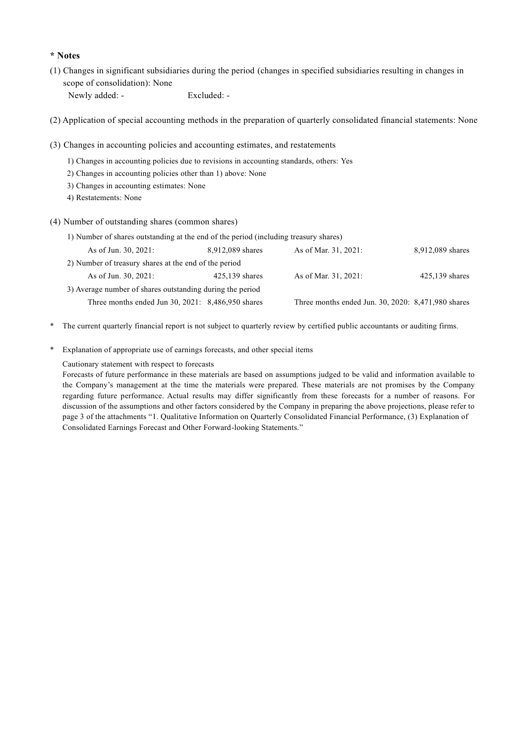# **\* Notes**

(1) Changes in significant subsidiaries during the period (changes in specified subsidiaries resulting in changes in scope of consolidation): None Newly added: - Excluded: -

(2) Application of special accounting methods in the preparation of quarterly consolidated financial statements: None

- (3) Changes in accounting policies and accounting estimates, and restatements
	- 1) Changes in accounting policies due to revisions in accounting standards, others: Yes
	- 2) Changes in accounting policies other than 1) above: None
	- 3) Changes in accounting estimates: None
	- 4) Restatements: None
- (4) Number of outstanding shares (common shares)

| 1) Number of shares outstanding at the end of the period (including treasury shares) |                  |                                                    |                  |
|--------------------------------------------------------------------------------------|------------------|----------------------------------------------------|------------------|
| As of Jun. 30, 2021:                                                                 | 8,912,089 shares | As of Mar. 31, 2021:                               | 8,912,089 shares |
| 2) Number of treasury shares at the end of the period                                |                  |                                                    |                  |
| As of Jun. 30, 2021:                                                                 | $425,139$ shares | As of Mar. 31, 2021:                               | $425,139$ shares |
| 3) Average number of shares outstanding during the period                            |                  |                                                    |                  |
| Three months ended Jun $30, 2021$ : $8,486,950$ shares                               |                  | Three months ended Jun. 30, 2020: 8,471,980 shares |                  |

- \* The current quarterly financial report is not subject to quarterly review by certified public accountants or auditing firms.
- \* Explanation of appropriate use of earnings forecasts, and other special items

### Cautionary statement with respect to forecasts

Forecasts of future performance in these materials are based on assumptions judged to be valid and information available to the Company's management at the time the materials were prepared. These materials are not promises by the Company regarding future performance. Actual results may differ significantly from these forecasts for a number of reasons. For discussion of the assumptions and other factors considered by the Company in preparing the above projections, please refer to page 3 of the attachments "1. Qualitative Information on Quarterly Consolidated Financial Performance, (3) Explanation of Consolidated Earnings Forecast and Other Forward-looking Statements."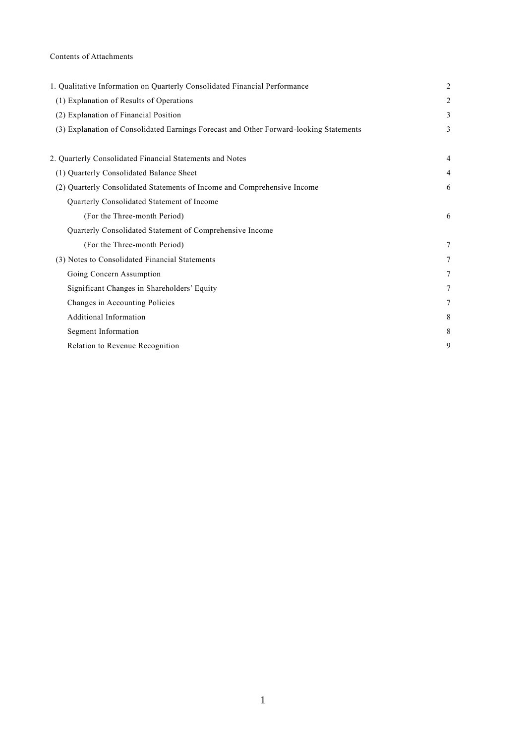# Contents of Attachments

| 1. Qualitative Information on Quarterly Consolidated Financial Performance             | $\overline{2}$ |
|----------------------------------------------------------------------------------------|----------------|
| (1) Explanation of Results of Operations                                               | 2              |
| (2) Explanation of Financial Position                                                  | 3              |
| (3) Explanation of Consolidated Earnings Forecast and Other Forward-looking Statements | 3              |
| 2. Quarterly Consolidated Financial Statements and Notes                               | 4              |
| (1) Quarterly Consolidated Balance Sheet                                               | $\overline{4}$ |
| (2) Quarterly Consolidated Statements of Income and Comprehensive Income               | 6              |
| Quarterly Consolidated Statement of Income                                             |                |
| (For the Three-month Period)                                                           | 6              |
| Quarterly Consolidated Statement of Comprehensive Income                               |                |
| (For the Three-month Period)                                                           | 7              |
| (3) Notes to Consolidated Financial Statements                                         | 7              |
| Going Concern Assumption                                                               | 7              |
| Significant Changes in Shareholders' Equity                                            | 7              |
| Changes in Accounting Policies                                                         | 7              |
| Additional Information                                                                 | 8              |
| Segment Information                                                                    | 8              |
| Relation to Revenue Recognition                                                        | 9              |
|                                                                                        |                |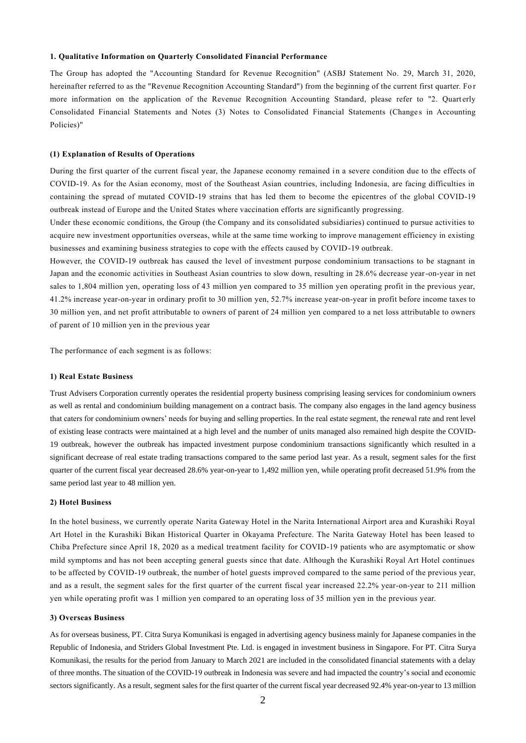#### **1. Qualitative Information on Quarterly Consolidated Financial Performance**

The Group has adopted the "Accounting Standard for Revenue Recognition" (ASBJ Statement No. 29, March 31, 2020, hereinafter referred to as the "Revenue Recognition Accounting Standard") from the beginning of the current first quarter. Fo r more information on the application of the Revenue Recognition Accounting Standard, please refer to "2. Quarterly Consolidated Financial Statements and Notes (3) Notes to Consolidated Financial Statements (Changes in Accounting Policies)"

#### **(1) Explanation of Results of Operations**

During the first quarter of the current fiscal year, the Japanese economy remained in a severe condition due to the effects of COVID-19. As for the Asian economy, most of the Southeast Asian countries, including Indonesia, are facing difficulties in containing the spread of mutated COVID-19 strains that has led them to become the epicentres of the global COVID-19 outbreak instead of Europe and the United States where vaccination efforts are significantly progressing.

Under these economic conditions, the Group (the Company and its consolidated subsidiaries) continued to pursue activities to acquire new investment opportunities overseas, while at the same time working to improve management efficiency in existing businesses and examining business strategies to cope with the effects caused by COVID-19 outbreak.

However, the COVID-19 outbreak has caused the level of investment purpose condominium transactions to be stagnant in Japan and the economic activities in Southeast Asian countries to slow down, resulting in 28.6% decrease year-on-year in net sales to 1,804 million yen, operating loss of 43 million yen compared to 35 million yen operating profit in the previous year, 41.2% increase year-on-year in ordinary profit to 30 million yen, 52.7% increase year-on-year in profit before income taxes to 30 million yen, and net profit attributable to owners of parent of 24 million yen compared to a net loss attributable to owners of parent of 10 million yen in the previous year

The performance of each segment is as follows:

#### **1) Real Estate Business**

Trust Advisers Corporation currently operates the residential property business comprising leasing services for condominium owners as well as rental and condominium building management on a contract basis. The company also engages in the land agency business that caters for condominium owners' needs for buying and selling properties. In the real estate segment, the renewal rate and rent level of existing lease contracts were maintained at a high level and the number of units managed also remained high despite the COVID-19 outbreak, however the outbreak has impacted investment purpose condominium transactions significantly which resulted in a significant decrease of real estate trading transactions compared to the same period last year. As a result, segment sales for the first quarter of the current fiscal year decreased 28.6% year-on-year to 1,492 million yen, while operating profit decreased 51.9% from the same period last year to 48 million yen.

#### **2) Hotel Business**

In the hotel business, we currently operate Narita Gateway Hotel in the Narita International Airport area and Kurashiki Royal Art Hotel in the Kurashiki Bikan Historical Quarter in Okayama Prefecture. The Narita Gateway Hotel has been leased to Chiba Prefecture since April 18, 2020 as a medical treatment facility for COVID-19 patients who are asymptomatic or show mild symptoms and has not been accepting general guests since that date. Although the Kurashiki Royal Art Hotel continues to be affected by COVID-19 outbreak, the number of hotel guests improved compared to the same period of the previous year, and as a result, the segment sales for the first quarter of the current fiscal year increased 22.2% year-on-year to 211 million yen while operating profit was 1 million yen compared to an operating loss of 35 million yen in the previous year.

#### **3) Overseas Business**

As for overseas business, PT. Citra Surya Komunikasi is engaged in advertising agency business mainly for Japanese companies in the Republic of Indonesia, and Striders Global Investment Pte. Ltd. is engaged in investment business in Singapore. For PT. Citra Surya Komunikasi, the results for the period from January to March 2021 are included in the consolidated financial statements with a delay of three months. The situation of the COVID-19 outbreak in Indonesia was severe and had impacted the country's social and economic sectors significantly. As a result, segment sales for the first quarter of the current fiscal year decreased 92.4% year-on-year to 13 million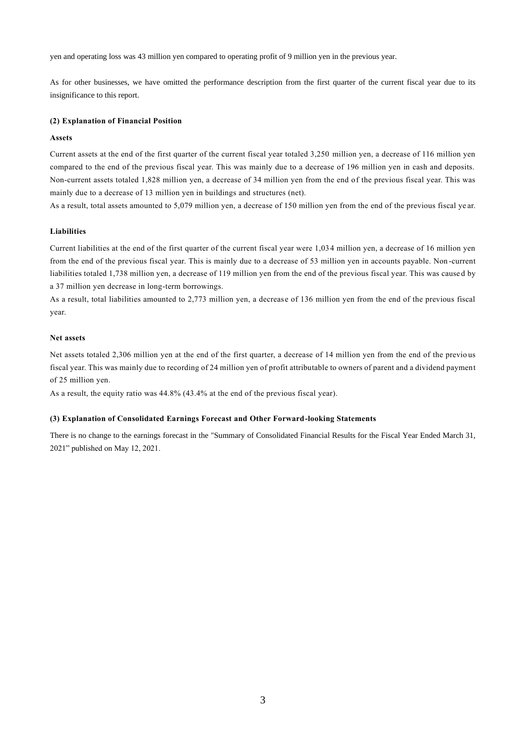yen and operating loss was 43 million yen compared to operating profit of 9 million yen in the previous year.

As for other businesses, we have omitted the performance description from the first quarter of the current fiscal year due to its insignificance to this report.

### **(2) Explanation of Financial Position**

#### **Assets**

Current assets at the end of the first quarter of the current fiscal year totaled 3,250 million yen, a decrease of 116 million yen compared to the end of the previous fiscal year. This was mainly due to a decrease of 196 million yen in cash and deposits. Non-current assets totaled 1,828 million yen, a decrease of 34 million yen from the end of the previous fiscal year. This was mainly due to a decrease of 13 million yen in buildings and structures (net).

As a result, total assets amounted to 5,079 million yen, a decrease of 150 million yen from the end of the previous fiscal ye ar.

### **Liabilities**

Current liabilities at the end of the first quarter of the current fiscal year were 1,034 million yen, a decrease of 16 million yen from the end of the previous fiscal year. This is mainly due to a decrease of 53 million yen in accounts payable. Non -current liabilities totaled 1,738 million yen, a decrease of 119 million yen from the end of the previous fiscal year. This was cause d by a 37 million yen decrease in long-term borrowings.

As a result, total liabilities amounted to 2,773 million yen, a decrease of 136 million yen from the end of the previous fiscal year.

#### **Net assets**

Net assets totaled 2,306 million yen at the end of the first quarter, a decrease of 14 million yen from the end of the previo us fiscal year. This was mainly due to recording of 24 million yen of profit attributable to owners of parent and a dividend payment of 25 million yen.

As a result, the equity ratio was 44.8% (43.4% at the end of the previous fiscal year).

#### **(3) Explanation of Consolidated Earnings Forecast and Other Forward-looking Statements**

There is no change to the earnings forecast in the "Summary of Consolidated Financial Results for the Fiscal Year Ended March 31, 2021" published on May 12, 2021.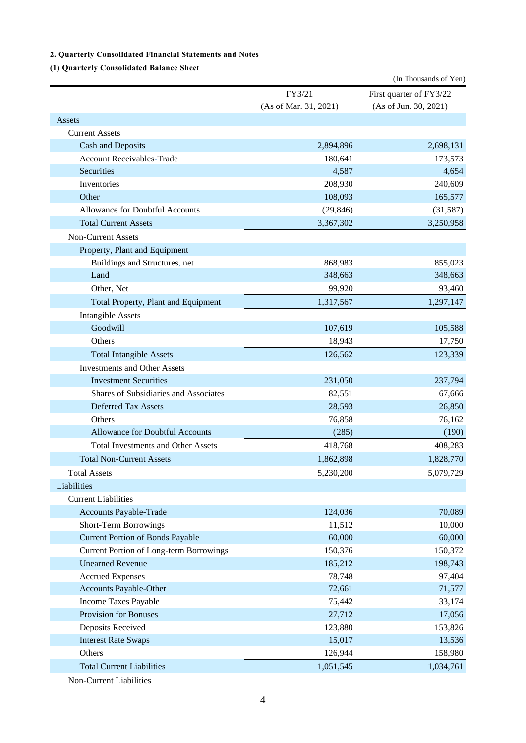# **2. Quarterly Consolidated Financial Statements and Notes**

# **(1) Quarterly Consolidated Balance Sheet**

|                                                |                       | (In Thousands of Yen)   |
|------------------------------------------------|-----------------------|-------------------------|
|                                                | FY3/21                | First quarter of FY3/22 |
|                                                | (As of Mar. 31, 2021) | (As of Jun. 30, 2021)   |
| Assets                                         |                       |                         |
| <b>Current Assets</b>                          |                       |                         |
| Cash and Deposits                              | 2,894,896             | 2,698,131               |
| <b>Account Receivables-Trade</b>               | 180,641               | 173,573                 |
| Securities                                     | 4,587                 | 4,654                   |
| Inventories                                    | 208,930               | 240,609                 |
| Other                                          | 108,093               | 165,577                 |
| Allowance for Doubtful Accounts                | (29, 846)             | (31, 587)               |
| <b>Total Current Assets</b>                    | 3,367,302             | 3,250,958               |
| <b>Non-Current Assets</b>                      |                       |                         |
| Property, Plant and Equipment                  |                       |                         |
| Buildings and Structures, net                  | 868,983               | 855,023                 |
| Land                                           | 348,663               | 348,663                 |
| Other, Net                                     | 99,920                | 93,460                  |
| Total Property, Plant and Equipment            | 1,317,567             | 1,297,147               |
| <b>Intangible Assets</b>                       |                       |                         |
| Goodwill                                       | 107,619               | 105,588                 |
| Others                                         | 18,943                | 17,750                  |
| <b>Total Intangible Assets</b>                 | 126,562               | 123,339                 |
| <b>Investments and Other Assets</b>            |                       |                         |
| <b>Investment Securities</b>                   | 231,050               | 237,794                 |
| Shares of Subsidiaries and Associates          | 82,551                | 67,666                  |
| Deferred Tax Assets                            | 28,593                | 26,850                  |
| Others                                         | 76,858                | 76,162                  |
| Allowance for Doubtful Accounts                | (285)                 | (190)                   |
| <b>Total Investments and Other Assets</b>      | 418,768               | 408,283                 |
| <b>Total Non-Current Assets</b>                | 1,862,898             | 1,828,770               |
| <b>Total Assets</b>                            | 5,230,200             | 5,079,729               |
| Liabilities                                    |                       |                         |
| <b>Current Liabilities</b>                     |                       |                         |
| Accounts Payable-Trade                         | 124,036               | 70,089                  |
| Short-Term Borrowings                          | 11,512                | 10,000                  |
| <b>Current Portion of Bonds Payable</b>        | 60,000                | 60,000                  |
| <b>Current Portion of Long-term Borrowings</b> | 150,376               | 150,372                 |
| <b>Unearned Revenue</b>                        | 185,212               | 198,743                 |
| <b>Accrued Expenses</b>                        | 78,748                | 97,404                  |
| Accounts Payable-Other                         | 72,661                | 71,577                  |
| Income Taxes Payable                           | 75,442                | 33,174                  |
| Provision for Bonuses                          | 27,712                | 17,056                  |
| Deposits Received                              | 123,880               | 153,826                 |
| <b>Interest Rate Swaps</b>                     | 15,017                | 13,536                  |
| Others                                         | 126,944               | 158,980                 |
| <b>Total Current Liabilities</b>               | 1,051,545             | 1,034,761               |
|                                                |                       |                         |

Non-Current Liabilities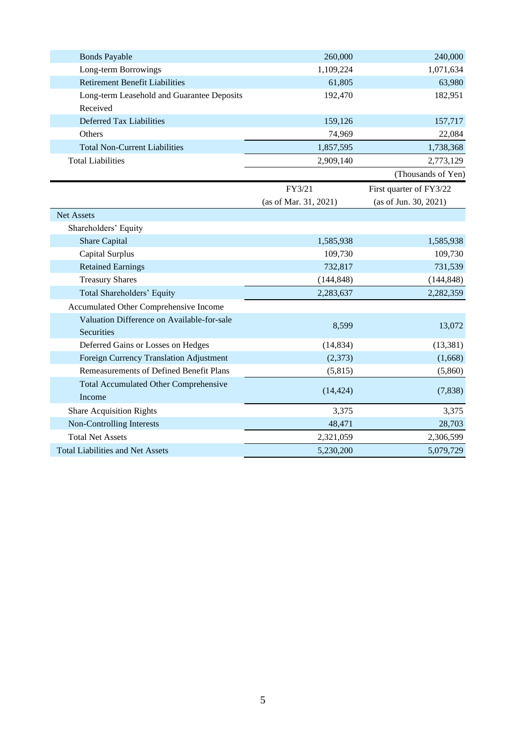| <b>Bonds Payable</b>                                     | 260,000               | 240,000                 |
|----------------------------------------------------------|-----------------------|-------------------------|
| Long-term Borrowings                                     | 1,109,224             | 1,071,634               |
| <b>Retirement Benefit Liabilities</b>                    | 61,805                | 63,980                  |
| Long-term Leasehold and Guarantee Deposits               | 192,470               | 182,951                 |
| Received                                                 |                       |                         |
| Deferred Tax Liabilities                                 | 159,126               | 157,717                 |
| Others                                                   | 74,969                | 22,084                  |
| <b>Total Non-Current Liabilities</b>                     | 1,857,595             | 1,738,368               |
| <b>Total Liabilities</b>                                 | 2,909,140             | 2,773,129               |
|                                                          |                       | (Thousands of Yen)      |
|                                                          | FY3/21                | First quarter of FY3/22 |
|                                                          | (as of Mar. 31, 2021) | (as of Jun. 30, 2021)   |
| <b>Net Assets</b>                                        |                       |                         |
| Shareholders' Equity                                     |                       |                         |
| <b>Share Capital</b>                                     | 1,585,938             | 1,585,938               |
| Capital Surplus                                          | 109,730               | 109,730                 |
| <b>Retained Earnings</b>                                 | 732,817               | 731,539                 |
| <b>Treasury Shares</b>                                   | (144, 848)            | (144, 848)              |
| Total Shareholders' Equity                               | 2,283,637             | 2,282,359               |
| Accumulated Other Comprehensive Income                   |                       |                         |
| Valuation Difference on Available-for-sale<br>Securities | 8,599                 | 13,072                  |
| Deferred Gains or Losses on Hedges                       | (14, 834)             | (13, 381)               |
| Foreign Currency Translation Adjustment                  | (2,373)               | (1,668)                 |
| Remeasurements of Defined Benefit Plans                  | (5,815)               | (5,860)                 |
| <b>Total Accumulated Other Comprehensive</b>             |                       |                         |
| Income                                                   | (14, 424)             | (7,838)                 |
| <b>Share Acquisition Rights</b>                          | 3,375                 | 3,375                   |
| Non-Controlling Interests                                | 48,471                | 28,703                  |
| <b>Total Net Assets</b>                                  | 2,321,059             | 2,306,599               |
| <b>Total Liabilities and Net Assets</b>                  | 5,230,200             | 5,079,729               |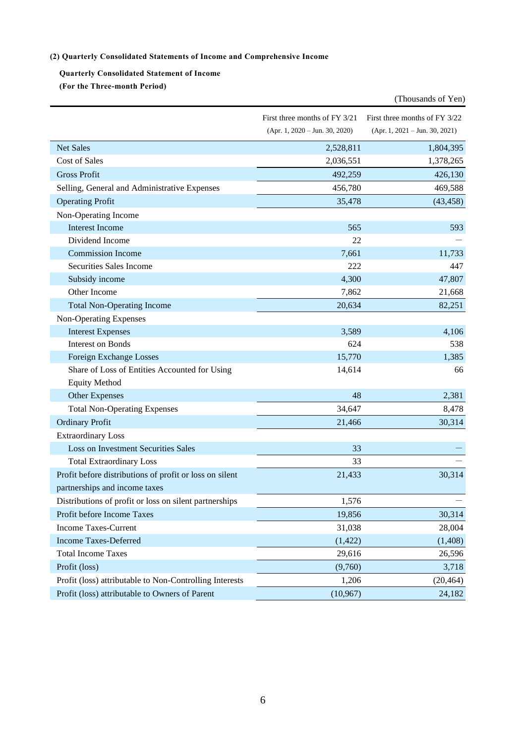# **(2) Quarterly Consolidated Statements of Income and Comprehensive Income**

**Quarterly Consolidated Statement of Income (For the Three-month Period)**

|                                                         |                                  | (Thousands of Yen)               |
|---------------------------------------------------------|----------------------------------|----------------------------------|
|                                                         | First three months of FY 3/21    | First three months of FY 3/22    |
|                                                         | $(Apr. 1, 2020 - Jun. 30, 2020)$ | $(Apr. 1, 2021 - Jun. 30, 2021)$ |
| <b>Net Sales</b>                                        | 2,528,811                        | 1,804,395                        |
| <b>Cost of Sales</b>                                    | 2,036,551                        | 1,378,265                        |
| <b>Gross Profit</b>                                     | 492,259                          | 426,130                          |
| Selling, General and Administrative Expenses            | 456,780                          | 469,588                          |
| <b>Operating Profit</b>                                 | 35,478                           | (43, 458)                        |
| Non-Operating Income                                    |                                  |                                  |
| <b>Interest Income</b>                                  | 565                              | 593                              |
| Dividend Income                                         | 22                               |                                  |
| <b>Commission Income</b>                                | 7,661                            | 11,733                           |
| Securities Sales Income                                 | 222                              | 447                              |
| Subsidy income                                          | 4,300                            | 47,807                           |
| Other Income                                            | 7,862                            | 21,668                           |
| <b>Total Non-Operating Income</b>                       | 20,634                           | 82,251                           |
| Non-Operating Expenses                                  |                                  |                                  |
| <b>Interest Expenses</b>                                | 3,589                            | 4,106                            |
| <b>Interest on Bonds</b>                                | 624                              | 538                              |
| Foreign Exchange Losses                                 | 15,770                           | 1,385                            |
| Share of Loss of Entities Accounted for Using           | 14,614                           | 66                               |
| <b>Equity Method</b>                                    |                                  |                                  |
| <b>Other Expenses</b>                                   | 48                               | 2,381                            |
| <b>Total Non-Operating Expenses</b>                     | 34,647                           | 8,478                            |
| <b>Ordinary Profit</b>                                  | 21,466                           | 30,314                           |
| <b>Extraordinary Loss</b>                               |                                  |                                  |
| <b>Loss on Investment Securities Sales</b>              | 33                               |                                  |
| <b>Total Extraordinary Loss</b>                         | 33                               |                                  |
| Profit before distributions of profit or loss on silent | 21,433                           | 30,314                           |
| partnerships and income taxes                           |                                  |                                  |
| Distributions of profit or loss on silent partnerships  | 1,576                            |                                  |
| Profit before Income Taxes                              | 19,856                           | 30,314                           |
| <b>Income Taxes-Current</b>                             | 31,038                           | 28,004                           |
| <b>Income Taxes-Deferred</b>                            | (1, 422)                         | (1,408)                          |
| <b>Total Income Taxes</b>                               | 29,616                           | 26,596                           |
| Profit (loss)                                           | (9,760)                          | 3,718                            |
| Profit (loss) attributable to Non-Controlling Interests | 1,206                            | (20, 464)                        |
| Profit (loss) attributable to Owners of Parent          | (10, 967)                        | 24,182                           |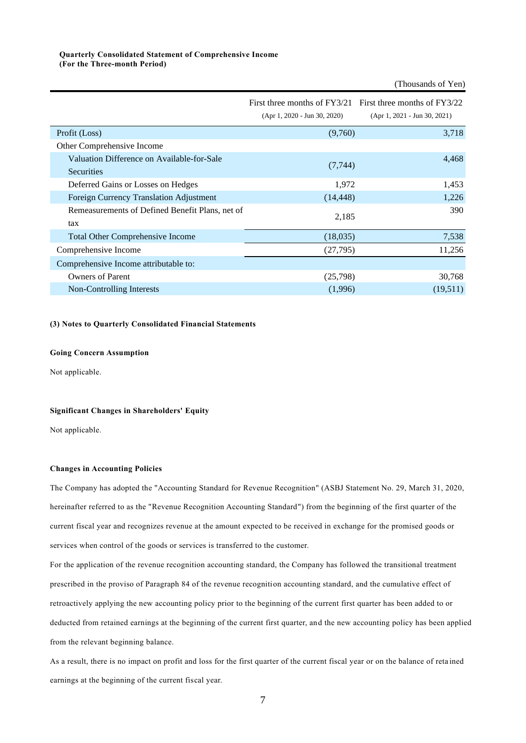### **Quarterly Consolidated Statement of Comprehensive Income (For the Three-month Period)**

|                                                                 | First three months of FY3/21 First three months of FY3/22<br>$(Apr 1, 2020 - Jun 30, 2020)$ | $(Apr 1, 2021 - Jun 30, 2021)$ |
|-----------------------------------------------------------------|---------------------------------------------------------------------------------------------|--------------------------------|
| Profit (Loss)                                                   | (9,760)                                                                                     | 3,718                          |
| Other Comprehensive Income                                      |                                                                                             |                                |
| Valuation Difference on Available-for-Sale<br><b>Securities</b> | (7, 744)                                                                                    | 4,468                          |
| Deferred Gains or Losses on Hedges                              | 1,972                                                                                       | 1,453                          |
| Foreign Currency Translation Adjustment                         | (14, 448)                                                                                   | 1,226                          |
| Remeasurements of Defined Benefit Plans, net of<br>tax          | 2,185                                                                                       | 390                            |
| <b>Total Other Comprehensive Income</b>                         | (18,035)                                                                                    | 7,538                          |
| Comprehensive Income                                            | (27, 795)                                                                                   | 11,256                         |
| Comprehensive Income attributable to:                           |                                                                                             |                                |
| <b>Owners of Parent</b>                                         | (25,798)                                                                                    | 30,768                         |
| Non-Controlling Interests                                       | (1,996)                                                                                     | (19,511)                       |

(Thousands of Yen)

### **(3) Notes to Quarterly Consolidated Financial Statements**

#### **Going Concern Assumption**

Not applicable.

### **Significant Changes in Shareholders' Equity**

Not applicable.

#### **Changes in Accounting Policies**

The Company has adopted the "Accounting Standard for Revenue Recognition" (ASBJ Statement No. 29, March 31, 2020, hereinafter referred to as the "Revenue Recognition Accounting Standard") from the beginning of the first quarter of the current fiscal year and recognizes revenue at the amount expected to be received in exchange for the promised goods or services when control of the goods or services is transferred to the customer.

For the application of the revenue recognition accounting standard, the Company has followed the transitional treatment prescribed in the proviso of Paragraph 84 of the revenue recognition accounting standard, and the cumulative effect of retroactively applying the new accounting policy prior to the beginning of the current first quarter has been added to or deducted from retained earnings at the beginning of the current first quarter, and the new accounting policy has been applied from the relevant beginning balance.

As a result, there is no impact on profit and loss for the first quarter of the current fiscal year or on the balance of reta ined earnings at the beginning of the current fiscal year.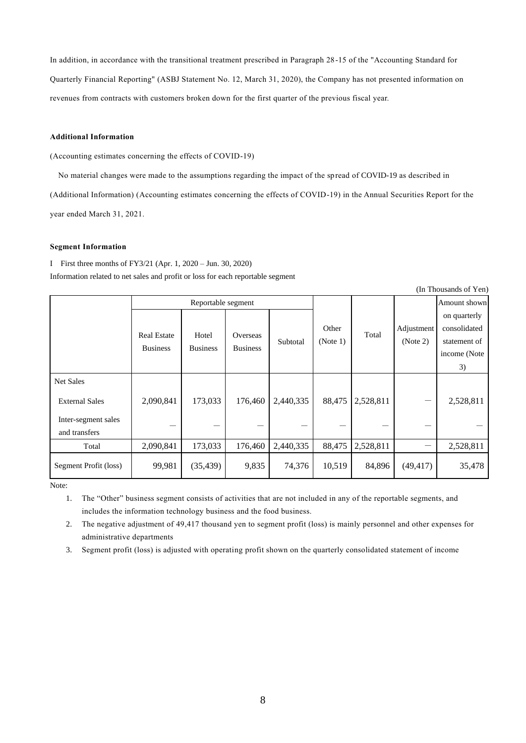In addition, in accordance with the transitional treatment prescribed in Paragraph 28-15 of the "Accounting Standard for

Quarterly Financial Reporting" (ASBJ Statement No. 12, March 31, 2020), the Company has not presented information on revenues from contracts with customers broken down for the first quarter of the previous fiscal year.

### **Additional Information**

(Accounting estimates concerning the effects of COVID-19)

No material changes were made to the assumptions regarding the impact of the spread of COVID-19 as described in

(Additional Information) (Accounting estimates concerning the effects of COVID-19) in the Annual Securities Report for the year ended March 31, 2021.

### **Segment Information**

Ⅰ First three months of FY3/21 (Apr. 1, 2020 – Jun. 30, 2020) Information related to net sales and profit or loss for each reportable segment

| (In Thousands of Yen)                |                                       |                          |                             |           |                   |           |                        |                                                                    |
|--------------------------------------|---------------------------------------|--------------------------|-----------------------------|-----------|-------------------|-----------|------------------------|--------------------------------------------------------------------|
|                                      | Reportable segment                    |                          |                             |           |                   |           |                        | Amount shown                                                       |
|                                      | <b>Real Estate</b><br><b>Business</b> | Hotel<br><b>Business</b> | Overseas<br><b>Business</b> | Subtotal  | Other<br>(Note 1) | Total     | Adjustment<br>(Note 2) | on quarterly<br>consolidated<br>statement of<br>income (Note<br>3) |
| <b>Net Sales</b>                     |                                       |                          |                             |           |                   |           |                        |                                                                    |
| <b>External Sales</b>                | 2,090,841                             | 173,033                  | 176,460                     | 2,440,335 | 88,475            | 2,528,811 |                        | 2,528,811                                                          |
| Inter-segment sales<br>and transfers |                                       |                          |                             |           |                   |           |                        |                                                                    |
| Total                                | 2,090,841                             | 173,033                  | 176,460                     | 2,440,335 | 88,475            | 2,528,811 |                        | 2,528,811                                                          |
| Segment Profit (loss)                | 99,981                                | (35, 439)                | 9,835                       | 74,376    | 10,519            | 84,896    | (49, 417)              | 35,478                                                             |

Note:

1. The "Other" business segment consists of activities that are not included in any of the reportable segments, and includes the information technology business and the food business.

2. The negative adjustment of 49,417 thousand yen to segment profit (loss) is mainly personnel and other expenses for administrative departments

3. Segment profit (loss) is adjusted with operating profit shown on the quarterly consolidated statement of income